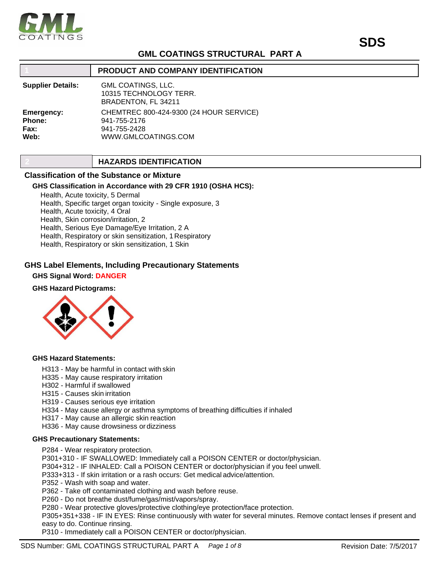

## **GML COATINGS STRUCTURAL PART A**

|                                      | <b>PRODUCT AND COMPANY IDENTIFICATION</b>                                                      |
|--------------------------------------|------------------------------------------------------------------------------------------------|
| <b>Supplier Details:</b>             | <b>GML COATINGS, LLC.</b><br>10315 TECHNOLOGY TERR.<br>BRADENTON, FL 34211                     |
| Emergency:<br>Phone:<br>Fax:<br>Web: | CHEMTREC 800-424-9300 (24 HOUR SERVICE)<br>941-755-2176<br>941-755-2428<br>WWW.GMLCOATINGS.COM |

## **2 HAZARDS IDENTIFICATION**

## **Classification of the Substance or Mixture**

#### **GHS Classification in Accordance with 29 CFR 1910 (OSHA HCS):**

Health, Acute toxicity, 5 Dermal Health, Specific target organ toxicity - Single exposure, 3 Health, Acute toxicity, 4 Oral Health, Skin corrosion/irritation, 2 Health, Serious Eye Damage/Eye Irritation, 2 A Health, Respiratory or skin sensitization, 1Respiratory Health, Respiratory or skin sensitization, 1 Skin

## **GHS Label Elements, Including Precautionary Statements**

#### **GHS Signal Word: DANGER**

## **GHS Hazard Pictograms:**



#### **GHS Hazard Statements:**

- H313 May be harmful in contact with skin
- H335 May cause respiratory irritation
- H302 Harmful if swallowed
- H315 Causes skin irritation
- H319 Causes serious eye irritation
- H334 May cause allergy or asthma symptoms of breathing difficulties if inhaled
- H317 May cause an allergic skin reaction
- H336 May cause drowsiness or dizziness

#### **GHS Precautionary Statements:**

P284 - Wear respiratory protection.

P301+310 - IF SWALLOWED: Immediately call a POISON CENTER or doctor/physician.

P304+312 - IF INHALED: Call a POISON CENTER or doctor/physician if you feel unwell.

P333+313 - If skin irritation or a rash occurs: Get medical advice/attention.

P352 - Wash with soap and water.

P362 - Take off contaminated clothing and wash before reuse.

P260 - Do not breathe dust/fume/gas/mist/vapors/spray.

P280 - Wear protective gloves/protective clothing/eye protection/face protection.

P305+351+338 - IF IN EYES: Rinse continuously with water for several minutes. Remove contact lenses if present and easy to do. Continue rinsing.

P310 - Immediately call a POISON CENTER or doctor/physician.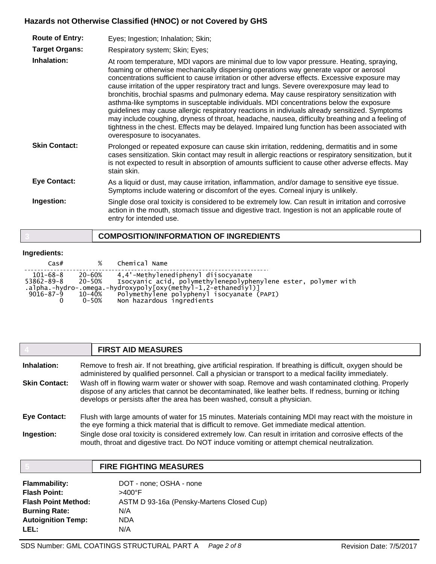## **Hazards not Otherwise Classified (HNOC) or not Covered by GHS**

| <b>Route of Entry:</b><br><b>Target Organs:</b><br>Inhalation: | Eyes; Ingestion; Inhalation; Skin;<br>Respiratory system; Skin; Eyes;<br>At room temperature, MDI vapors are minimal due to low vapor pressure. Heating, spraying,<br>foaming or otherwise mechanically dispersing operations way generate vapor or aerosol<br>concentrations sufficient to cause irritation or other adverse effects. Excessive exposure may<br>cause irritation of the upper respiratory tract and lungs. Severe overexposure may lead to<br>bronchitis, brochial spasms and pulmonary edema. May cause respiratory sensitization with<br>asthma-like symptoms in susceptable individuals. MDI concentrations below the exposure |
|----------------------------------------------------------------|----------------------------------------------------------------------------------------------------------------------------------------------------------------------------------------------------------------------------------------------------------------------------------------------------------------------------------------------------------------------------------------------------------------------------------------------------------------------------------------------------------------------------------------------------------------------------------------------------------------------------------------------------|
|                                                                | guidelines may cause allergic respiratory reactions in indiviuals already sensitized. Symptoms<br>may include coughing, dryness of throat, headache, nausea, difficulty breathing and a feeling of<br>tightness in the chest. Effects may be delayed. Impaired lung function has been associated with<br>overesposure to isocyanates.                                                                                                                                                                                                                                                                                                              |
| <b>Skin Contact:</b>                                           | Prolonged or repeated exposure can cause skin irritation, reddening, dermatitis and in some<br>cases sensitization. Skin contact may result in allergic reactions or respiratory sensitization, but it<br>is not expected to result in absorption of amounts sufficient to cause other adverse effects. May<br>stain skin.                                                                                                                                                                                                                                                                                                                         |
| <b>Eye Contact:</b>                                            | As a liquid or dust, may cause irritation, inflammation, and/or damage to sensitive eye tissue.<br>Symptoms include watering or discomfort of the eyes. Corneal injury is unlikely.                                                                                                                                                                                                                                                                                                                                                                                                                                                                |
| Ingestion:                                                     | Single dose oral toxicity is considered to be extremely low. Can result in irritation and corrosive<br>action in the mouth, stomach tissue and digestive tract. Ingestion is not an applicable route of<br>entry for intended use.                                                                                                                                                                                                                                                                                                                                                                                                                 |

## **3 COMPOSITION/INFORMATION OF INGREDIENTS**

## **Ingredients:**

| $\textsf{Cas}\#$                           |                               | % Chemical Name                                                                                                                                                                                                                                   |
|--------------------------------------------|-------------------------------|---------------------------------------------------------------------------------------------------------------------------------------------------------------------------------------------------------------------------------------------------|
| 101-68-8<br>53862-89-8 20-50%<br>9016–87–9 | 20-60%<br>10–40%<br>$0 - 50%$ | 4,4'-Methylenediphenyl diisocyanate<br>Isocyanic acid, polymethylenepolyphenylene ester, polymer with<br>.alpha.-hydro-.omega.-hydroxypoly[oxy(methyl-1,2-ethanediyl)]<br>Polymethylene polyphenyl isocyanate (PAPI)<br>Non hazardous ingredients |

|                      | <b>FIRST AID MEASURES</b>                                                                                                                                                                                                                                                                     |  |
|----------------------|-----------------------------------------------------------------------------------------------------------------------------------------------------------------------------------------------------------------------------------------------------------------------------------------------|--|
| Inhalation:          | Remove to fresh air. If not breathing, give artificial respiration. If breathing is difficult, oxygen should be<br>administered by qualified personnel. Call a physician or transport to a medical facility immediately.                                                                      |  |
| <b>Skin Contact:</b> | Wash off in flowing warm water or shower with soap. Remove and wash contaminated clothing. Properly<br>dispose of any articles that cannot be decontaminated, like leather belts. If redness, burning or itching<br>develops or persists after the area has been washed, consult a physician. |  |
| Eye Contact:         | Flush with large amounts of water for 15 minutes. Materials containing MDI may react with the moisture in<br>the eye forming a thick material that is difficult to remove. Get immediate medical attention.                                                                                   |  |
| Ingestion:           | Single dose oral toxicity is considered extremely low. Can result in irritation and corrosive effects of the<br>mouth, throat and digestive tract. Do NOT induce vomiting or attempt chemical neutralization.                                                                                 |  |

|                            | <b>FIRE FIGHTING MEASURES</b>             |
|----------------------------|-------------------------------------------|
| <b>Flammability:</b>       | DOT - none; OSHA - none                   |
| <b>Flash Point:</b>        | >400°F                                    |
| <b>Flash Point Method:</b> | ASTM D 93-16a (Pensky-Martens Closed Cup) |
| <b>Burning Rate:</b>       | N/A                                       |
| <b>Autoignition Temp:</b>  | NDA                                       |
| LEL:                       | N/A                                       |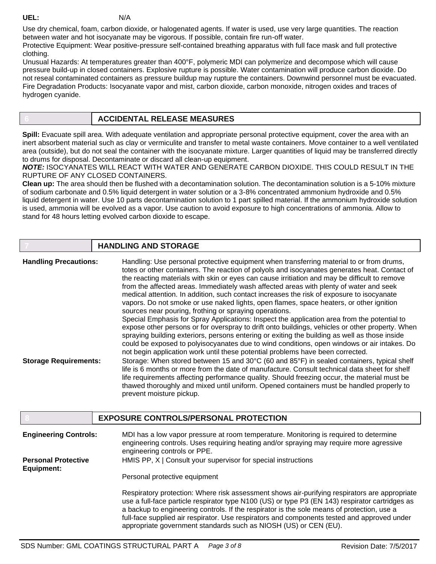**UEL:** N/A

Use dry chemical, foam, carbon dioxide, or halogenated agents. If water is used, use very large quantities. The reaction between water and hot isocyanate may be vigorous. If possible, contain fire run-off water.

Protective Equipment: Wear positive-pressure self-contained breathing apparatus with full face mask and full protective clothing.

Unusual Hazards: At temperatures greater than 400°F, polymeric MDI can polymerize and decompose which will cause pressure build-up in closed containers. Explosive rupture is possible. Water contamination will produce carbon dioxide. Do not reseal contaminated containers as pressure buildup may rupture the containers. Downwind personnel must be evacuated. Fire Degradation Products: Isocyanate vapor and mist, carbon dioxide, carbon monoxide, nitrogen oxides and traces of hydrogen cyanide.

## **6 ACCIDENTAL RELEASE MEASURES**

**Spill:** Evacuate spill area. With adequate ventilation and appropriate personal protective equipment, cover the area with an inert absorbent material such as clay or vermiculite and transfer to metal waste containers. Move container to a well ventilated area (outside), but do not seal the container with the isocyanate mixture. Larger quantities of liquid may be transferred directly to drums for disposal. Decontaminate or discard all clean-up equipment.

*NOTE:* ISOCYANATES WILL REACT WITH WATER AND GENERATE CARBON DIOXIDE. THIS COULD RESULT IN THE RUPTURE OF ANY CLOSED CONTAINERS.

**Clean up:** The area should then be flushed with a decontamination solution. The decontamination solution is a 5-10% mixture of sodium carbonate and 0.5% liquid detergent in water solution or a 3-8% concentrated ammonium hydroxide and 0.5% liquid detergent in water. Use 10 parts decontamination solution to 1 part spilled material. If the ammonium hydroxide solution is used, ammonia will be evolved as a vapor. Use caution to avoid exposure to high concentrations of ammonia. Allow to stand for 48 hours letting evolved carbon dioxide to escape.

|                              | <b>HANDLING AND STORAGE</b>                                                                                                                                                                                                                                                                                                                                                                                                                                                                                                                                                                                                                                                                                                           |
|------------------------------|---------------------------------------------------------------------------------------------------------------------------------------------------------------------------------------------------------------------------------------------------------------------------------------------------------------------------------------------------------------------------------------------------------------------------------------------------------------------------------------------------------------------------------------------------------------------------------------------------------------------------------------------------------------------------------------------------------------------------------------|
| <b>Handling Precautions:</b> | Handling: Use personal protective equipment when transferring material to or from drums,<br>totes or other containers. The reaction of polyols and isocyanates generates heat. Contact of<br>the reacting materials with skin or eyes can cause irritiation and may be difficult to remove<br>from the affected areas. Immediately wash affected areas with plenty of water and seek<br>medical attention. In addition, such contact increases the risk of exposure to isocyanate<br>vapors. Do not smoke or use naked lights, open flames, space heaters, or other ignition<br>sources near pouring, frothing or spraying operations.<br>Special Emphasis for Spray Applications: Inspect the application area from the potential to |
|                              | expose other persons or for overspray to drift onto buildings, vehicles or other property. When<br>spraying building exteriors, persons entering or exiting the building as well as those inside<br>could be exposed to polyisocyanates due to wind conditions, open windows or air intakes. Do<br>not begin application work until these potential problems have been corrected.                                                                                                                                                                                                                                                                                                                                                     |
| <b>Storage Requirements:</b> | Storage: When stored between 15 and 30°C (60 and 85°F) in sealed containers, typical shelf<br>life is 6 months or more from the date of manufacture. Consult technical data sheet for shelf<br>life requirements affecting performance quality. Should freezing occur, the material must be<br>thawed thoroughly and mixed until uniform. Opened containers must be handled properly to<br>prevent moisture pickup.                                                                                                                                                                                                                                                                                                                   |

|                                          | <b>EXPOSURE CONTROLS/PERSONAL PROTECTION</b>                                                                                                                                                                                                                                                                                                                                                                                                                      |
|------------------------------------------|-------------------------------------------------------------------------------------------------------------------------------------------------------------------------------------------------------------------------------------------------------------------------------------------------------------------------------------------------------------------------------------------------------------------------------------------------------------------|
| <b>Engineering Controls:</b>             | MDI has a low vapor pressure at room temperature. Monitoring is required to determine<br>engineering controls. Uses requiring heating and/or spraying may require more agressive<br>engineering controls or PPE.                                                                                                                                                                                                                                                  |
| <b>Personal Protective</b><br>Equipment: | HMIS PP, X   Consult your supervisor for special instructions                                                                                                                                                                                                                                                                                                                                                                                                     |
|                                          | Personal protective equipment                                                                                                                                                                                                                                                                                                                                                                                                                                     |
|                                          | Respiratory protection: Where risk assessment shows air-purifying respirators are appropriate<br>use a full-face particle respirator type N100 (US) or type P3 (EN 143) respirator cartridges as<br>a backup to engineering controls. If the respirator is the sole means of protection, use a<br>full-face supplied air respirator. Use respirators and components tested and approved under<br>appropriate government standards such as NIOSH (US) or CEN (EU). |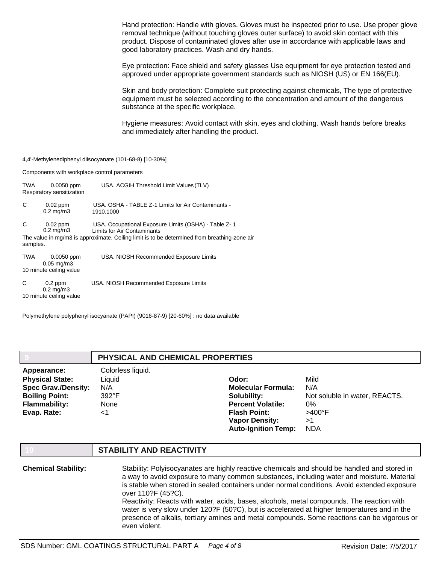Hand protection: Handle with gloves. Gloves must be inspected prior to use. Use proper glove removal technique (without touching gloves outer surface) to avoid skin contact with this product. Dispose of contaminated gloves after use in accordance with applicable laws and good laboratory practices. Wash and dry hands.

Eye protection: Face shield and safety glasses Use equipment for eye protection tested and approved under appropriate government standards such as NIOSH (US) or EN 166(EU).

Skin and body protection: Complete suit protecting against chemicals, The type of protective equipment must be selected according to the concentration and amount of the dangerous substance at the specific workplace.

Hygiene measures: Avoid contact with skin, eyes and clothing. Wash hands before breaks and immediately after handling the product.

4,4'-Methylenediphenyl diisocyanate (101-68-8) [10-30%]

Components with workplace control parameters

| TWA           | $0.0050$ ppm<br>Respiratory sensitization                    | USA. ACGIH Threshold Limit Values (TLV)                                                                                                                                             |
|---------------|--------------------------------------------------------------|-------------------------------------------------------------------------------------------------------------------------------------------------------------------------------------|
| C             | $0.02$ ppm<br>$0.2 \text{ mg/m}$ 3                           | USA, OSHA - TABLE Z-1 Limits for Air Contaminants -<br>1910.1000                                                                                                                    |
| C<br>samples. | $0.02$ ppm<br>$0.2 \text{ mg/m}$ 3                           | USA. Occupational Exposure Limits (OSHA) - Table Z-1<br>Limits for Air Contaminants<br>The value in mg/m3 is approximate. Ceiling limit is to be determined from breathing-zone air |
| TWA           | $0.0050$ ppm<br>$0.05$ mg/m $3$<br>10 minute ceiling value   | USA. NIOSH Recommended Exposure Limits                                                                                                                                              |
| C             | $0.2$ ppm<br>$0.2 \text{ mg/m}$ 3<br>10 minute ceiling value | USA. NIOSH Recommended Exposure Limits                                                                                                                                              |

Polymethylene polyphenyl isocyanate (PAPI) (9016-87-9) [20-60%] : no data available

|                            | PHYSICAL AND CHEMICAL PROPERTIES |                            |                               |
|----------------------------|----------------------------------|----------------------------|-------------------------------|
| Appearance:                | Colorless liquid.                |                            |                               |
| <b>Physical State:</b>     | Liquid                           | Odor:                      | Mild                          |
| <b>Spec Grav./Density:</b> | N/A                              | <b>Molecular Formula:</b>  | N/A                           |
| <b>Boiling Point:</b>      | $392^{\circ}F$                   | Solubility:                | Not soluble in water, REACTS. |
| <b>Flammability:</b>       | None                             | <b>Percent Volatile:</b>   | 0%                            |
| Evap. Rate:                | ا>                               | <b>Flash Point:</b>        | $>400^{\circ}$ F              |
|                            |                                  | <b>Vapor Density:</b>      | >1                            |
|                            |                                  | <b>Auto-Ignition Temp:</b> | <b>NDA</b>                    |
|                            |                                  |                            |                               |

## **10 STABILITY AND REACTIVITY**

| <b>Chemical Stability:</b> | Stability: Polyisocyanates are highly reactive chemicals and should be handled and stored in<br>a way to avoid exposure to many common substances, including water and moisture. Material<br>is stable when stored in sealed containers under normal conditions. Avoid extended exposure<br>over 110?F (45?C). |
|----------------------------|----------------------------------------------------------------------------------------------------------------------------------------------------------------------------------------------------------------------------------------------------------------------------------------------------------------|
|                            | Reactivity: Reacts with water, acids, bases, alcohols, metal compounds. The reaction with<br>water is very slow under 120? F (50? C), but is accelerated at higher temperatures and in the<br>presence of alkalis, tertiary amines and metal compounds. Some reactions can be vigorous or<br>even violent.     |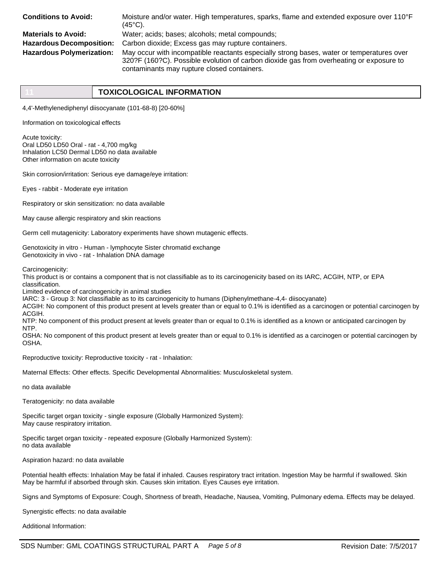| <b>Conditions to Avoid:</b>      | Moisture and/or water. High temperatures, sparks, flame and extended exposure over 110°F<br>$(45^{\circ}C)$ .                                                                                                                       |
|----------------------------------|-------------------------------------------------------------------------------------------------------------------------------------------------------------------------------------------------------------------------------------|
| <b>Materials to Avoid:</b>       | Water; acids; bases; alcohols; metal compounds;                                                                                                                                                                                     |
| <b>Hazardous Decomposition:</b>  | Carbon dioxide; Excess gas may rupture containers.                                                                                                                                                                                  |
| <b>Hazardous Polymerization:</b> | May occur with incompatible reactants especially strong bases, water or temperatures over<br>320?F (160?C). Possible evolution of carbon dioxide gas from overheating or exposure to<br>contaminants may rupture closed containers. |

4,4'-Methylenediphenyl diisocyanate (101-68-8) [20-60%]

Information on toxicological effects

Acute toxicity: Oral LD50 LD50 Oral - rat - 4,700 mg/kg Inhalation LC50 Dermal LD50 no data available Other information on acute toxicity

Skin corrosion/irritation: Serious eye damage/eye irritation:

Eyes - rabbit - Moderate eye irritation

Respiratory or skin sensitization: no data available

May cause allergic respiratory and skin reactions

Germ cell mutagenicity: Laboratory experiments have shown mutagenic effects.

Genotoxicity in vitro - Human - lymphocyte Sister chromatid exchange Genotoxicity in vivo - rat - Inhalation DNA damage

Carcinogenicity:

This product is or contains a component that is not classifiable as to its carcinogenicity based on its IARC, ACGIH, NTP, or EPA classification.

Limited evidence of carcinogenicity in animal studies

IARC: 3 - Group 3: Not classifiable as to its carcinogenicity to humans (Diphenylmethane-4,4- diisocyanate)

ACGIH: No component of this product present at levels greater than or equal to 0.1% is identified as a carcinogen or potential carcinogen by ACGIH.

NTP: No component of this product present at levels greater than or equal to 0.1% is identified as a known or anticipated carcinogen by NTP.

OSHA: No component of this product present at levels greater than or equal to 0.1% is identified as a carcinogen or potential carcinogen by OSHA.

Reproductive toxicity: Reproductive toxicity - rat - Inhalation:

Maternal Effects: Other effects. Specific Developmental Abnormalities: Musculoskeletal system.

no data available

Teratogenicity: no data available

Specific target organ toxicity - single exposure (Globally Harmonized System): May cause respiratory irritation.

Specific target organ toxicity - repeated exposure (Globally Harmonized System): no data available

Aspiration hazard: no data available

Potential health effects: Inhalation May be fatal if inhaled. Causes respiratory tract irritation. Ingestion May be harmful if swallowed. Skin May be harmful if absorbed through skin. Causes skin irritation. Eyes Causes eye irritation.

Signs and Symptoms of Exposure: Cough, Shortness of breath, Headache, Nausea, Vomiting, Pulmonary edema. Effects may be delayed.

Synergistic effects: no data available

Additional Information: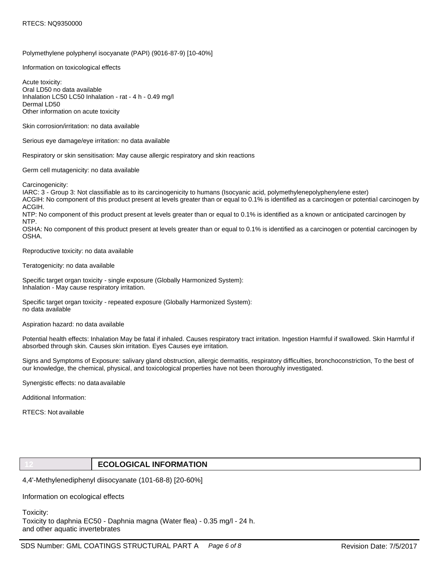#### Polymethylene polyphenyl isocyanate (PAPI) (9016-87-9) [10-40%]

Information on toxicological effects

Acute toxicity: Oral LD50 no data available Inhalation LC50 LC50 Inhalation - rat - 4 h - 0.49 mg/l Dermal LD50 Other information on acute toxicity

Skin corrosion/irritation: no data available

Serious eye damage/eye irritation: no data available

Respiratory or skin sensitisation: May cause allergic respiratory and skin reactions

Germ cell mutagenicity: no data available

Carcinogenicity:

IARC: 3 - Group 3: Not classifiable as to its carcinogenicity to humans (Isocyanic acid, polymethylenepolyphenylene ester) ACGIH: No component of this product present at levels greater than or equal to 0.1% is identified as a carcinogen or potential carcinogen by ACGIH.

NTP: No component of this product present at levels greater than or equal to 0.1% is identified as a known or anticipated carcinogen by NTP.

OSHA: No component of this product present at levels greater than or equal to 0.1% is identified as a carcinogen or potential carcinogen by OSHA.

Reproductive toxicity: no data available

Teratogenicity: no data available

Specific target organ toxicity - single exposure (Globally Harmonized System): Inhalation - May cause respiratory irritation.

Specific target organ toxicity - repeated exposure (Globally Harmonized System): no data available

Aspiration hazard: no data available

Potential health effects: Inhalation May be fatal if inhaled. Causes respiratory tract irritation. Ingestion Harmful if swallowed. Skin Harmful if absorbed through skin. Causes skin irritation. Eyes Causes eye irritation.

Signs and Symptoms of Exposure: salivary gland obstruction, allergic dermatitis, respiratory difficulties, bronchoconstriction, To the best of our knowledge, the chemical, physical, and toxicological properties have not been thoroughly investigated.

Synergistic effects: no dataavailable

Additional Information:

RTECS: Not available

## **12 ECOLOGICAL INFORMATION**

4,4'-Methylenediphenyl diisocyanate (101-68-8) [20-60%]

Information on ecological effects

Toxicity:

Toxicity to daphnia EC50 - Daphnia magna (Water flea) - 0.35 mg/l - 24 h. and other aquatic invertebrates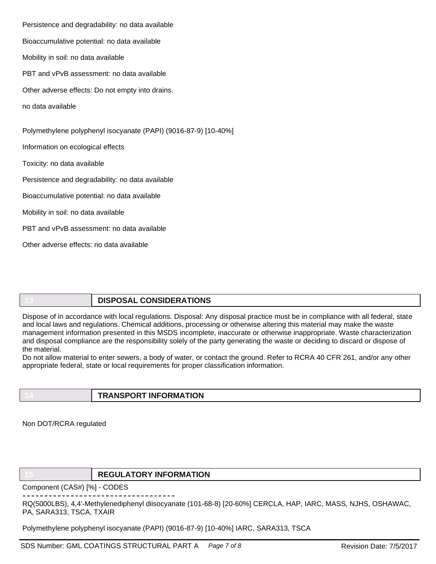Persistence and degradability: no data available Bioaccumulative potential: no data available Mobility in soil: no data available PBT and vPvB assessment: no data available Other adverse effects: Do not empty into drains. no data available Polymethylene polyphenyl isocyanate (PAPI) (9016-87-9) [10-40%] Information on ecological effects Toxicity: no data available Persistence and degradability: no data available Bioaccumulative potential: no data available Mobility in soil: no data available PBT and vPvB assessment: no data available Other adverse effects: no data available

**13 DISPOSAL CONSIDERATIONS**

Dispose of in accordance with local regulations. Disposal: Any disposal practice must be in compliance with all federal, state and local laws and regulations. Chemical additions, processing or otherwise altering this material may make the waste management information presented in this MSDS incomplete, inaccurate or otherwise inappropriate. Waste characterization and disposal compliance are the responsibility solely of the party generating the waste or deciding to discard or dispose of the material.

Do not allow material to enter sewers, a body of water, or contact the ground. Refer to RCRA 40 CFR 261, and/or any other appropriate federal, state or local requirements for proper classification information.

**14 TRANSPORT INFORMATION**

Non DOT/RCRA regulated

**15 REGULATORY INFORMATION**

Component (CAS#) [%] - CODES

RQ(5000LBS), 4,4'-Methylenediphenyl diisocyanate (101-68-8) [20-60%] CERCLA, HAP, IARC, MASS, NJHS, OSHAWAC, PA, SARA313, TSCA, TXAIR

Polymethylene polyphenyl isocyanate (PAPI) (9016-87-9) [10-40%] IARC, SARA313, TSCA

SDS Number: GML COATINGS STRUCTURAL PART A *Page 7 of 8* Revision Date: 7/5/2017